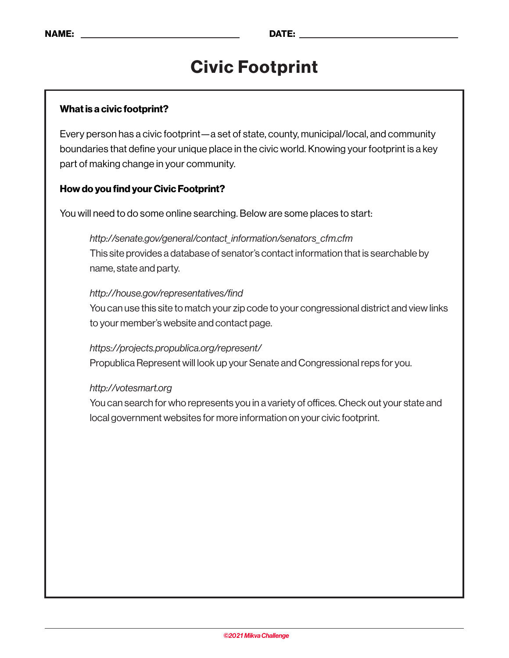## Civic Footprint

#### What is a civic footprint?

Every person has a civic footprint—a set of state, county, municipal/local, and community boundaries that define your unique place in the civic world. Knowing your footprint is a key part of making change in your community.

#### How do you find your Civic Footprint?

You will need to do some online searching. Below are some places to start:

### *http://senate.gov/general/contact\_information/senators\_cfm.cfm* This site provides a database of senator's contact information that is searchable by name, state and party.

#### *http://house.gov/representatives/find*

You can use this site to match your zip code to your congressional district and view links to your member's website and contact page.

#### *https://projects.propublica.org/represent/*  Propublica Represent will look up your Senate and Congressional reps for you.

#### *http://votesmart.org*

You can search for who represents you in a variety of offices. Check out your state and local government websites for more information on your civic footprint.